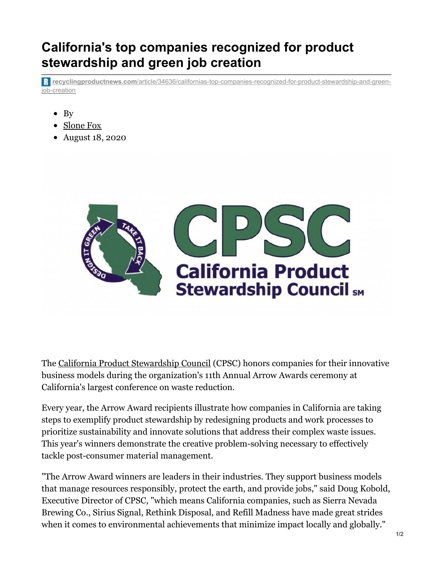## **California's top companies recognized for product stewardship and green job creation**

**recyclingproductnews.com**[/article/34636/californias-top-companies-recognized-for-product-stewardship-and-green](https://www.recyclingproductnews.com/article/34636/californias-top-companies-recognized-for-product-stewardship-and-green-job-creation)job-creation

- $\bullet$  By
- [Slone](mailto:sfox@baumpub.com) Fox
- August 18, 2020



The California Product [Stewardship](https://www.recyclingproductnews.com/company/6648/california-product-stewardship-council-cpsc) Council (CPSC) honors companies for their innovative business models during the organization's 11th Annual Arrow Awards ceremony at California's largest conference on waste reduction.

Every year, the Arrow Award recipients illustrate how companies in California are taking steps to exemplify product stewardship by redesigning products and work processes to prioritize sustainability and innovate solutions that address their complex waste issues. This year's winners demonstrate the creative problem-solving necessary to effectively tackle post-consumer material management.

"The Arrow Award winners are leaders in their industries. They support business models that manage resources responsibly, protect the earth, and provide jobs," said Doug Kobold, Executive Director of CPSC, "which means California companies, such as Sierra Nevada Brewing Co., Sirius Signal, Rethink Disposal, and Refill Madness have made great strides when it comes to environmental achievements that minimize impact locally and globally."